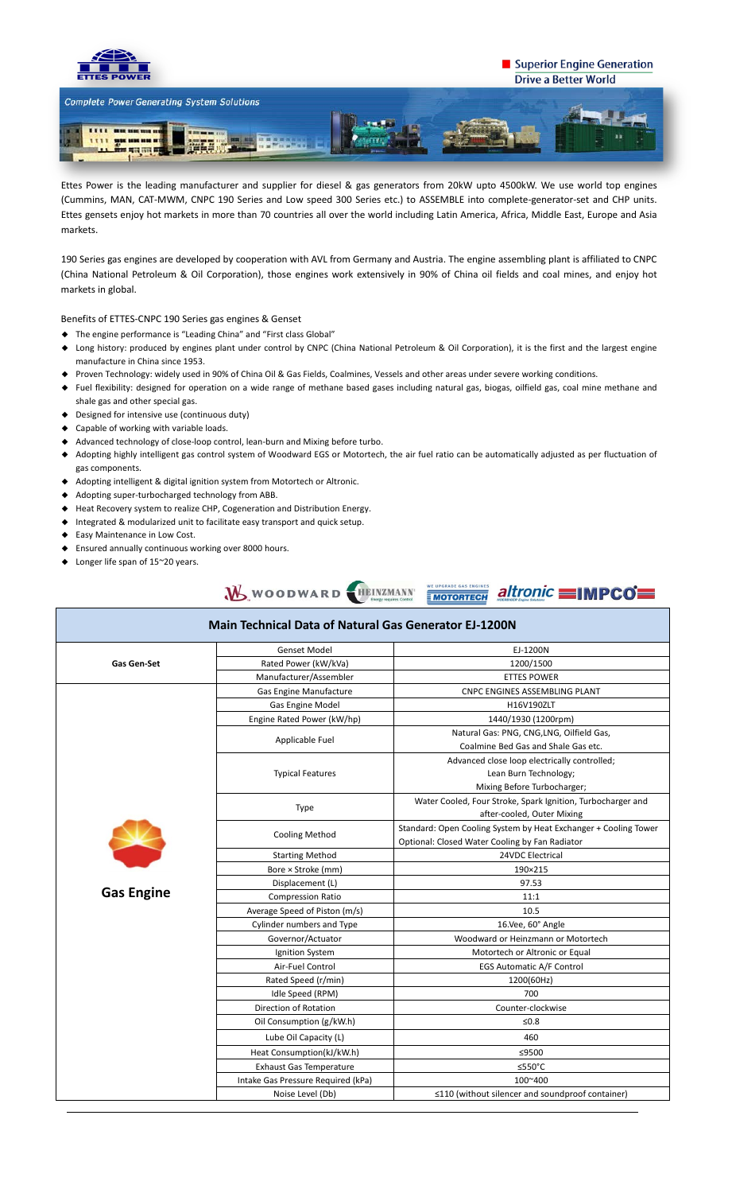

## Superior Engine Generation **Drive a Better World**



Ettes Power is the leading manufacturer and supplier for diesel & gas generators from 20kW upto 4500kW. We use world top engines (Cummins, MAN, CAT-MWM, CNPC 190 Series and Low speed 300 Series etc.) to ASSEMBLE into complete-generator-set and CHP units. Ettes gensets enjoy hot markets in more than 70 countries all over the world including Latin America, Africa, Middle East, Europe and Asia markets.

190 Series gas engines are developed by cooperation with AVL from Germany and Austria. The engine assembling plant is affiliated to CNPC (China National Petroleum & Oil Corporation), those engines work extensively in 90% of China oil fields and coal mines, and enjoy hot markets in global.

Benefits of ETTES-CNPC 190 Series gas engines & Genset

- ◆ The engine performance is "Leading China" and "First class Global"
- ◆ Long history: produced by engines plant under control by CNPC (China National Petroleum & Oil Corporation), it is the first and the largest engine manufacture in China since 1953.
- ◆ Proven Technology: widely used in 90% of China Oil & Gas Fields, Coalmines, Vessels and other areas under severe working conditions.
- ◆ Fuel flexibility: designed for operation on a wide range of methane based gases including natural gas, biogas, oilfield gas, coal mine methane and shale gas and other special gas.
- ◆ Designed for intensive use (continuous duty)
- ◆ Capable of working with variable loads.
- ◆ Advanced technology of close-loop control, lean-burn and Mixing before turbo.
- ◆ Adopting highly intelligent gas control system of Woodward EGS or Motortech, the air fuel ratio can be automatically adjusted as per fluctuation of gas components.
- ◆ Adopting intelligent & digital ignition system from Motortech or Altronic.
- ◆ Adopting super-turbocharged technology from ABB.
- ◆ Heat Recovery system to realize CHP, Cogeneration and Distribution Energy.
- ◆ Integrated & modularized unit to facilitate easy transport and quick setup.
- ◆ Easy Maintenance in Low Cost.
- ◆ Ensured annually continuous working over 8000 hours.
- ◆ Longer life span of 15~20 years.



| <b>Main Technical Data of Natural Gas Generator EJ-1200N</b> |                                    |                                                                                                                   |  |  |  |  |  |  |  |
|--------------------------------------------------------------|------------------------------------|-------------------------------------------------------------------------------------------------------------------|--|--|--|--|--|--|--|
| <b>Gas Gen-Set</b>                                           | <b>Genset Model</b>                | EJ-1200N                                                                                                          |  |  |  |  |  |  |  |
|                                                              | Rated Power (kW/kVa)               | 1200/1500                                                                                                         |  |  |  |  |  |  |  |
|                                                              | Manufacturer/Assembler             | <b>ETTES POWER</b>                                                                                                |  |  |  |  |  |  |  |
| <b>Gas Engine</b>                                            | Gas Engine Manufacture             | <b>CNPC ENGINES ASSEMBLING PLANT</b>                                                                              |  |  |  |  |  |  |  |
|                                                              | Gas Engine Model                   | H16V190ZLT                                                                                                        |  |  |  |  |  |  |  |
|                                                              | Engine Rated Power (kW/hp)         | 1440/1930 (1200rpm)                                                                                               |  |  |  |  |  |  |  |
|                                                              | Applicable Fuel                    | Natural Gas: PNG, CNG, LNG, Oilfield Gas,<br>Coalmine Bed Gas and Shale Gas etc.                                  |  |  |  |  |  |  |  |
|                                                              |                                    | Advanced close loop electrically controlled;                                                                      |  |  |  |  |  |  |  |
|                                                              | <b>Typical Features</b>            | Lean Burn Technology;                                                                                             |  |  |  |  |  |  |  |
|                                                              |                                    | Mixing Before Turbocharger;                                                                                       |  |  |  |  |  |  |  |
|                                                              | Type                               | Water Cooled, Four Stroke, Spark Ignition, Turbocharger and                                                       |  |  |  |  |  |  |  |
|                                                              |                                    | after-cooled, Outer Mixing                                                                                        |  |  |  |  |  |  |  |
|                                                              | <b>Cooling Method</b>              | Standard: Open Cooling System by Heat Exchanger + Cooling Tower<br>Optional: Closed Water Cooling by Fan Radiator |  |  |  |  |  |  |  |
|                                                              | <b>Starting Method</b>             | 24VDC Electrical                                                                                                  |  |  |  |  |  |  |  |
|                                                              | Bore × Stroke (mm)                 | 190×215                                                                                                           |  |  |  |  |  |  |  |
|                                                              | Displacement (L)                   | 97.53                                                                                                             |  |  |  |  |  |  |  |
|                                                              | <b>Compression Ratio</b>           | 11:1                                                                                                              |  |  |  |  |  |  |  |
|                                                              | Average Speed of Piston (m/s)      | 10.5                                                                                                              |  |  |  |  |  |  |  |
|                                                              | Cylinder numbers and Type          | 16.Vee, 60° Angle                                                                                                 |  |  |  |  |  |  |  |
|                                                              | Governor/Actuator                  | Woodward or Heinzmann or Motortech                                                                                |  |  |  |  |  |  |  |
|                                                              | Ignition System                    | Motortech or Altronic or Equal                                                                                    |  |  |  |  |  |  |  |
|                                                              | Air-Fuel Control                   | EGS Automatic A/F Control                                                                                         |  |  |  |  |  |  |  |
|                                                              | Rated Speed (r/min)                | 1200(60Hz)                                                                                                        |  |  |  |  |  |  |  |
|                                                              | Idle Speed (RPM)                   | 700                                                                                                               |  |  |  |  |  |  |  |
|                                                              | Direction of Rotation              | Counter-clockwise                                                                                                 |  |  |  |  |  |  |  |
|                                                              | Oil Consumption (g/kW.h)           | ≤ $0.8$                                                                                                           |  |  |  |  |  |  |  |
|                                                              | Lube Oil Capacity (L)              | 460                                                                                                               |  |  |  |  |  |  |  |
|                                                              | Heat Consumption(kJ/kW.h)          | ≤9500                                                                                                             |  |  |  |  |  |  |  |
|                                                              | <b>Exhaust Gas Temperature</b>     | $≤550°C$                                                                                                          |  |  |  |  |  |  |  |
|                                                              | Intake Gas Pressure Required (kPa) | 100~400                                                                                                           |  |  |  |  |  |  |  |
|                                                              | Noise Level (Db)                   | ≤110 (without silencer and soundproof container)                                                                  |  |  |  |  |  |  |  |